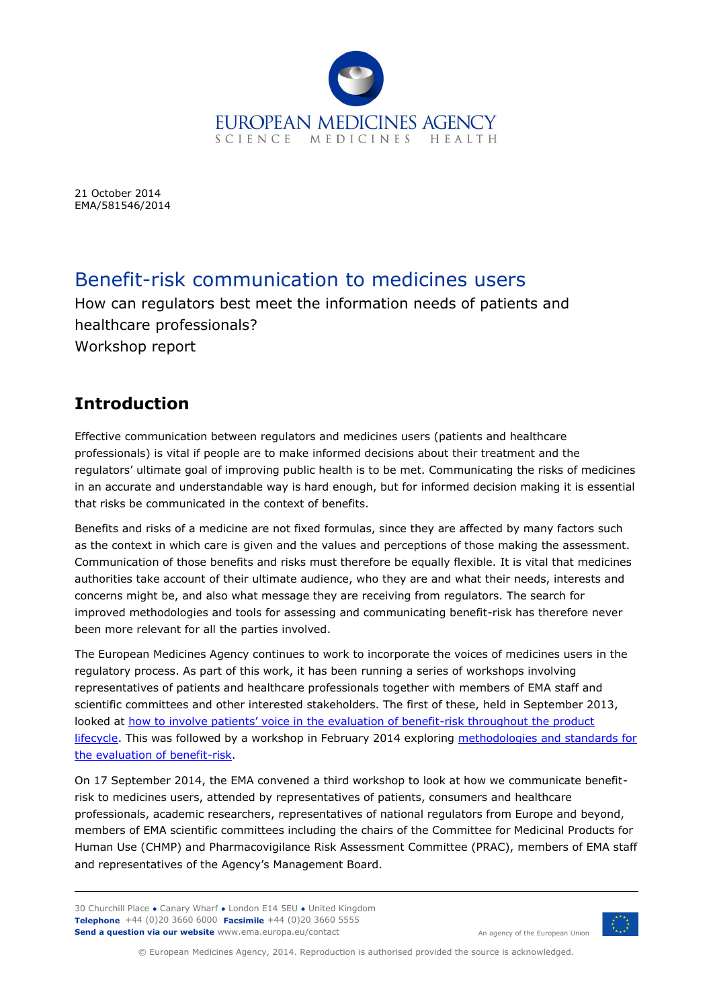

21 October 2014 EMA/581546/2014

# Benefit-risk communication to medicines users

How can regulators best meet the information needs of patients and healthcare professionals? Workshop report

# **Introduction**

Effective communication between regulators and medicines users (patients and healthcare professionals) is vital if people are to make informed decisions about their treatment and the regulators' ultimate goal of improving public health is to be met. Communicating the risks of medicines in an accurate and understandable way is hard enough, but for informed decision making it is essential that risks be communicated in the context of benefits.

Benefits and risks of a medicine are not fixed formulas, since they are affected by many factors such as the context in which care is given and the values and perceptions of those making the assessment. Communication of those benefits and risks must therefore be equally flexible. It is vital that medicines authorities take account of their ultimate audience, who they are and what their needs, interests and concerns might be, and also what message they are receiving from regulators. The search for improved methodologies and tools for assessing and communicating benefit-risk has therefore never been more relevant for all the parties involved.

The European Medicines Agency continues to work to incorporate the voices of medicines users in the regulatory process. As part of this work, it has been running a series of workshops involving representatives of patients and healthcare professionals together with members of EMA staff and scientific committees and other interested stakeholders. The first of these, held in September 2013, looked at [how to involve patients' voice in the evaluation of benefit](http://www.ema.europa.eu/ema/index.jsp?curl=pages/news_and_events/events/2013/09/event_detail_000778.jsp&mid=WC0b01ac058004d5c3)-risk throughout the product [lifecycle.](http://www.ema.europa.eu/ema/index.jsp?curl=pages/news_and_events/events/2013/09/event_detail_000778.jsp&mid=WC0b01ac058004d5c3) This was followed by a workshop in February 2014 exploring methodologies and standards for [the evaluation of benefit-risk.](http://www.ema.europa.eu/ema/index.jsp?curl=pages/news_and_events/events/2014/02/event_detail_000873.jsp&mid=WC0b01ac058004d5c3)

On 17 September 2014, the EMA convened a third workshop to look at how we communicate benefitrisk to medicines users, attended by representatives of patients, consumers and healthcare professionals, academic researchers, representatives of national regulators from Europe and beyond, members of EMA scientific committees including the chairs of the Committee for Medicinal Products for Human Use (CHMP) and Pharmacovigilance Risk Assessment Committee (PRAC), members of EMA staff and representatives of the Agency's Management Board.

30 Churchill Place **●** Canary Wharf **●** London E14 5EU **●** United Kingdom **Telephone** +44 (0)20 3660 6000 **Facsimile** +44 (0)20 3660 5555 **Send a question via our website** www.ema.europa.eu/contact



An agency of the European Union

© European Medicines Agency, 2014. Reproduction is authorised provided the source is acknowledged.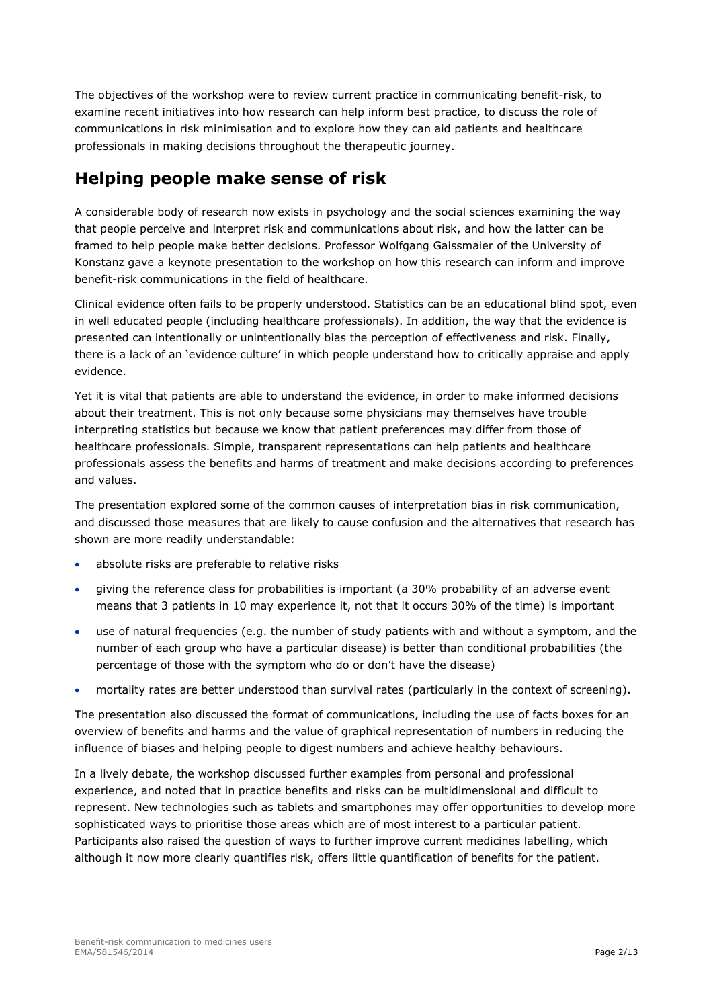The objectives of the workshop were to review current practice in communicating benefit-risk, to examine recent initiatives into how research can help inform best practice, to discuss the role of communications in risk minimisation and to explore how they can aid patients and healthcare professionals in making decisions throughout the therapeutic journey.

## **Helping people make sense of risk**

A considerable body of research now exists in psychology and the social sciences examining the way that people perceive and interpret risk and communications about risk, and how the latter can be framed to help people make better decisions. Professor Wolfgang Gaissmaier of the University of Konstanz gave a keynote presentation to the workshop on how this research can inform and improve benefit-risk communications in the field of healthcare.

Clinical evidence often fails to be properly understood. Statistics can be an educational blind spot, even in well educated people (including healthcare professionals). In addition, the way that the evidence is presented can intentionally or unintentionally bias the perception of effectiveness and risk. Finally, there is a lack of an 'evidence culture' in which people understand how to critically appraise and apply evidence.

Yet it is vital that patients are able to understand the evidence, in order to make informed decisions about their treatment. This is not only because some physicians may themselves have trouble interpreting statistics but because we know that patient preferences may differ from those of healthcare professionals. Simple, transparent representations can help patients and healthcare professionals assess the benefits and harms of treatment and make decisions according to preferences and values.

The presentation explored some of the common causes of interpretation bias in risk communication, and discussed those measures that are likely to cause confusion and the alternatives that research has shown are more readily understandable:

- absolute risks are preferable to relative risks
- giving the reference class for probabilities is important (a 30% probability of an adverse event means that 3 patients in 10 may experience it, not that it occurs 30% of the time) is important
- use of natural frequencies (e.g. the number of study patients with and without a symptom, and the number of each group who have a particular disease) is better than conditional probabilities (the percentage of those with the symptom who do or don't have the disease)
- mortality rates are better understood than survival rates (particularly in the context of screening).

The presentation also discussed the format of communications, including the use of facts boxes for an overview of benefits and harms and the value of graphical representation of numbers in reducing the influence of biases and helping people to digest numbers and achieve healthy behaviours.

In a lively debate, the workshop discussed further examples from personal and professional experience, and noted that in practice benefits and risks can be multidimensional and difficult to represent. New technologies such as tablets and smartphones may offer opportunities to develop more sophisticated ways to prioritise those areas which are of most interest to a particular patient. Participants also raised the question of ways to further improve current medicines labelling, which although it now more clearly quantifies risk, offers little quantification of benefits for the patient.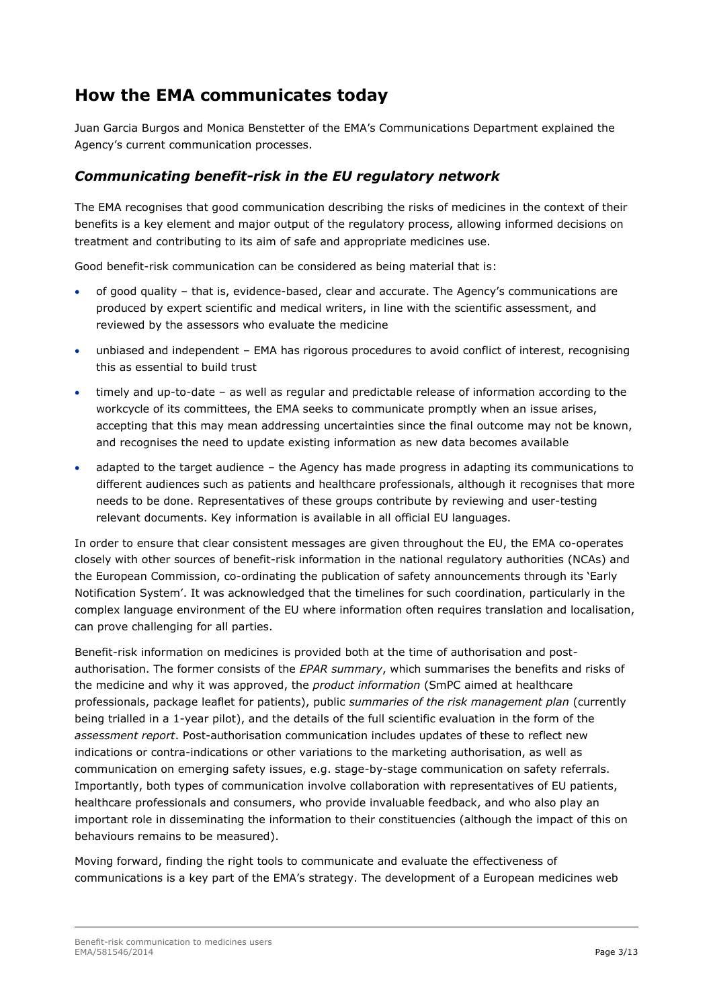## **How the EMA communicates today**

Juan Garcia Burgos and Monica Benstetter of the EMA's Communications Department explained the Agency's current communication processes.

#### *Communicating benefit-risk in the EU regulatory network*

The EMA recognises that good communication describing the risks of medicines in the context of their benefits is a key element and major output of the regulatory process, allowing informed decisions on treatment and contributing to its aim of safe and appropriate medicines use.

Good benefit-risk communication can be considered as being material that is:

- of good quality that is, evidence-based, clear and accurate. The Agency's communications are produced by expert scientific and medical writers, in line with the scientific assessment, and reviewed by the assessors who evaluate the medicine
- unbiased and independent EMA has rigorous procedures to avoid conflict of interest, recognising this as essential to build trust
- timely and up-to-date as well as regular and predictable release of information according to the workcycle of its committees, the EMA seeks to communicate promptly when an issue arises, accepting that this may mean addressing uncertainties since the final outcome may not be known, and recognises the need to update existing information as new data becomes available
- adapted to the target audience the Agency has made progress in adapting its communications to different audiences such as patients and healthcare professionals, although it recognises that more needs to be done. Representatives of these groups contribute by reviewing and user-testing relevant documents. Key information is available in all official EU languages.

In order to ensure that clear consistent messages are given throughout the EU, the EMA co-operates closely with other sources of benefit-risk information in the national regulatory authorities (NCAs) and the European Commission, co-ordinating the publication of safety announcements through its 'Early Notification System'. It was acknowledged that the timelines for such coordination, particularly in the complex language environment of the EU where information often requires translation and localisation, can prove challenging for all parties.

Benefit-risk information on medicines is provided both at the time of authorisation and postauthorisation. The former consists of the *EPAR summary*, which summarises the benefits and risks of the medicine and why it was approved, the *product information* (SmPC aimed at healthcare professionals, package leaflet for patients), public *summaries of the risk management plan* (currently being trialled in a 1-year pilot), and the details of the full scientific evaluation in the form of the *assessment report*. Post-authorisation communication includes updates of these to reflect new indications or contra-indications or other variations to the marketing authorisation, as well as communication on emerging safety issues, e.g. stage-by-stage communication on safety referrals. Importantly, both types of communication involve collaboration with representatives of EU patients, healthcare professionals and consumers, who provide invaluable feedback, and who also play an important role in disseminating the information to their constituencies (although the impact of this on behaviours remains to be measured).

Moving forward, finding the right tools to communicate and evaluate the effectiveness of communications is a key part of the EMA's strategy. The development of a European medicines web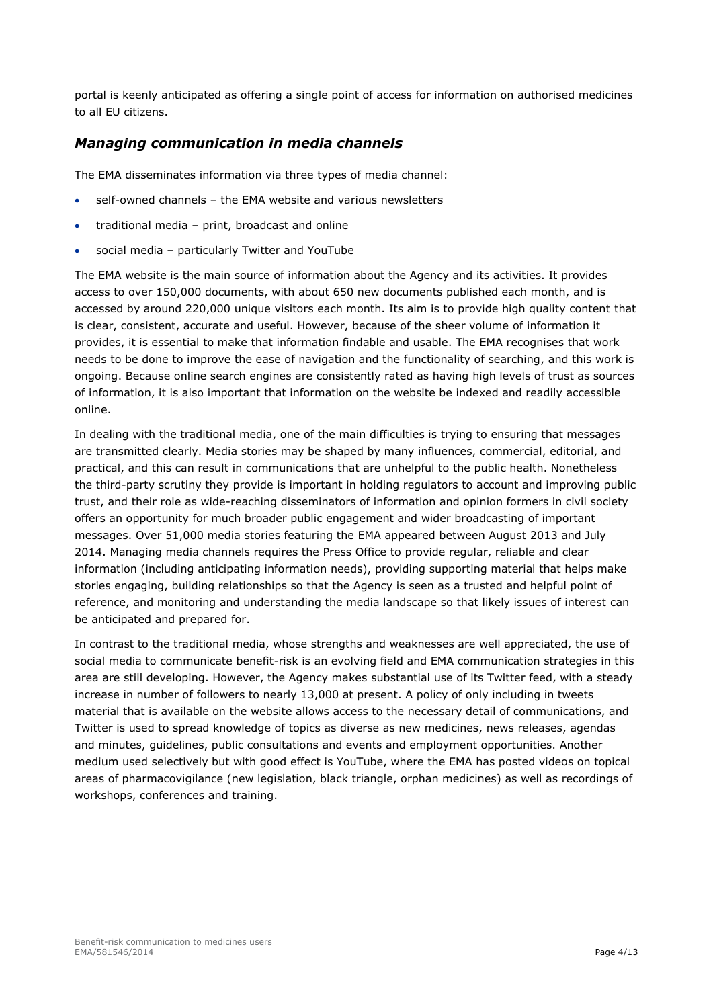portal is keenly anticipated as offering a single point of access for information on authorised medicines to all EU citizens.

#### *Managing communication in media channels*

The EMA disseminates information via three types of media channel:

- self-owned channels the EMA website and various newsletters
- traditional media print, broadcast and online
- social media particularly Twitter and YouTube

The EMA website is the main source of information about the Agency and its activities. It provides access to over 150,000 documents, with about 650 new documents published each month, and is accessed by around 220,000 unique visitors each month. Its aim is to provide high quality content that is clear, consistent, accurate and useful. However, because of the sheer volume of information it provides, it is essential to make that information findable and usable. The EMA recognises that work needs to be done to improve the ease of navigation and the functionality of searching, and this work is ongoing. Because online search engines are consistently rated as having high levels of trust as sources of information, it is also important that information on the website be indexed and readily accessible online.

In dealing with the traditional media, one of the main difficulties is trying to ensuring that messages are transmitted clearly. Media stories may be shaped by many influences, commercial, editorial, and practical, and this can result in communications that are unhelpful to the public health. Nonetheless the third-party scrutiny they provide is important in holding regulators to account and improving public trust, and their role as wide-reaching disseminators of information and opinion formers in civil society offers an opportunity for much broader public engagement and wider broadcasting of important messages. Over 51,000 media stories featuring the EMA appeared between August 2013 and July 2014. Managing media channels requires the Press Office to provide regular, reliable and clear information (including anticipating information needs), providing supporting material that helps make stories engaging, building relationships so that the Agency is seen as a trusted and helpful point of reference, and monitoring and understanding the media landscape so that likely issues of interest can be anticipated and prepared for.

In contrast to the traditional media, whose strengths and weaknesses are well appreciated, the use of social media to communicate benefit-risk is an evolving field and EMA communication strategies in this area are still developing. However, the Agency makes substantial use of its Twitter feed, with a steady increase in number of followers to nearly 13,000 at present. A policy of only including in tweets material that is available on the website allows access to the necessary detail of communications, and Twitter is used to spread knowledge of topics as diverse as new medicines, news releases, agendas and minutes, guidelines, public consultations and events and employment opportunities. Another medium used selectively but with good effect is YouTube, where the EMA has posted videos on topical areas of pharmacovigilance (new legislation, black triangle, orphan medicines) as well as recordings of workshops, conferences and training.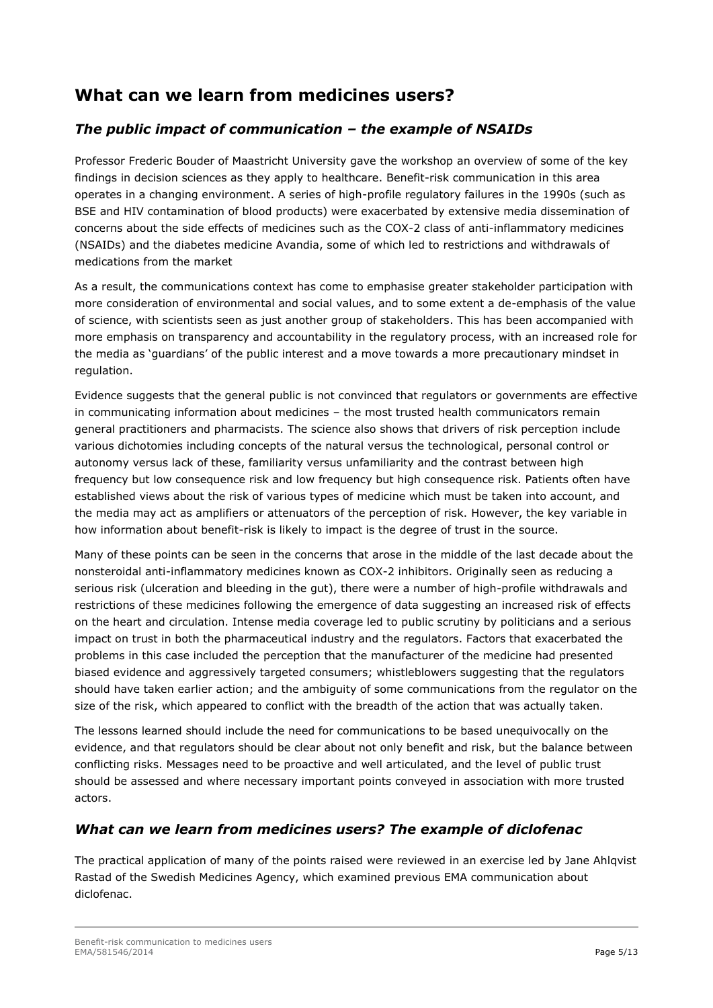## **What can we learn from medicines users?**

#### *The public impact of communication – the example of NSAIDs*

Professor Frederic Bouder of Maastricht University gave the workshop an overview of some of the key findings in decision sciences as they apply to healthcare. Benefit-risk communication in this area operates in a changing environment. A series of high-profile regulatory failures in the 1990s (such as BSE and HIV contamination of blood products) were exacerbated by extensive media dissemination of concerns about the side effects of medicines such as the COX-2 class of anti-inflammatory medicines (NSAIDs) and the diabetes medicine Avandia, some of which led to restrictions and withdrawals of medications from the market

As a result, the communications context has come to emphasise greater stakeholder participation with more consideration of environmental and social values, and to some extent a de-emphasis of the value of science, with scientists seen as just another group of stakeholders. This has been accompanied with more emphasis on transparency and accountability in the regulatory process, with an increased role for the media as 'guardians' of the public interest and a move towards a more precautionary mindset in regulation.

Evidence suggests that the general public is not convinced that regulators or governments are effective in communicating information about medicines – the most trusted health communicators remain general practitioners and pharmacists. The science also shows that drivers of risk perception include various dichotomies including concepts of the natural versus the technological, personal control or autonomy versus lack of these, familiarity versus unfamiliarity and the contrast between high frequency but low consequence risk and low frequency but high consequence risk. Patients often have established views about the risk of various types of medicine which must be taken into account, and the media may act as amplifiers or attenuators of the perception of risk. However, the key variable in how information about benefit-risk is likely to impact is the degree of trust in the source.

Many of these points can be seen in the concerns that arose in the middle of the last decade about the nonsteroidal anti-inflammatory medicines known as COX-2 inhibitors. Originally seen as reducing a serious risk (ulceration and bleeding in the gut), there were a number of high-profile withdrawals and restrictions of these medicines following the emergence of data suggesting an increased risk of effects on the heart and circulation. Intense media coverage led to public scrutiny by politicians and a serious impact on trust in both the pharmaceutical industry and the regulators. Factors that exacerbated the problems in this case included the perception that the manufacturer of the medicine had presented biased evidence and aggressively targeted consumers; whistleblowers suggesting that the regulators should have taken earlier action; and the ambiguity of some communications from the regulator on the size of the risk, which appeared to conflict with the breadth of the action that was actually taken.

The lessons learned should include the need for communications to be based unequivocally on the evidence, and that regulators should be clear about not only benefit and risk, but the balance between conflicting risks. Messages need to be proactive and well articulated, and the level of public trust should be assessed and where necessary important points conveyed in association with more trusted actors.

#### *What can we learn from medicines users? The example of diclofenac*

The practical application of many of the points raised were reviewed in an exercise led by Jane Ahlqvist Rastad of the Swedish Medicines Agency, which examined previous EMA communication about diclofenac.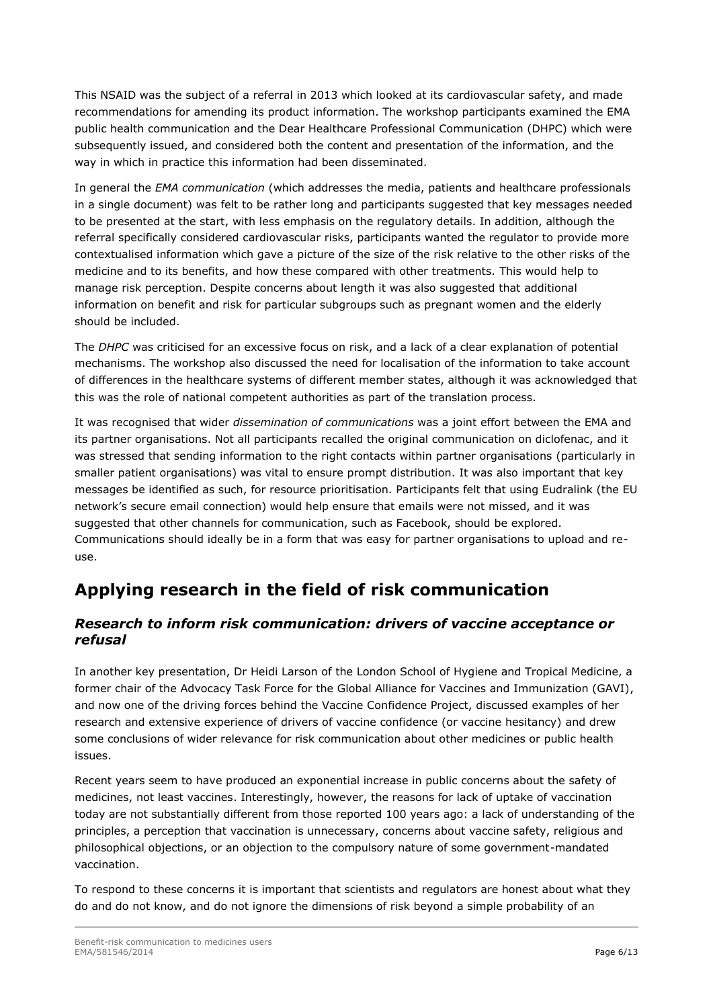This NSAID was the subject of a referral in 2013 which looked at its cardiovascular safety, and made recommendations for amending its product information. The workshop participants examined the EMA public health communication and the Dear Healthcare Professional Communication (DHPC) which were subsequently issued, and considered both the content and presentation of the information, and the way in which in practice this information had been disseminated.

In general the *EMA communication* (which addresses the media, patients and healthcare professionals in a single document) was felt to be rather long and participants suggested that key messages needed to be presented at the start, with less emphasis on the regulatory details. In addition, although the referral specifically considered cardiovascular risks, participants wanted the regulator to provide more contextualised information which gave a picture of the size of the risk relative to the other risks of the medicine and to its benefits, and how these compared with other treatments. This would help to manage risk perception. Despite concerns about length it was also suggested that additional information on benefit and risk for particular subgroups such as pregnant women and the elderly should be included.

The *DHPC* was criticised for an excessive focus on risk, and a lack of a clear explanation of potential mechanisms. The workshop also discussed the need for localisation of the information to take account of differences in the healthcare systems of different member states, although it was acknowledged that this was the role of national competent authorities as part of the translation process.

It was recognised that wider *dissemination of communications* was a joint effort between the EMA and its partner organisations. Not all participants recalled the original communication on diclofenac, and it was stressed that sending information to the right contacts within partner organisations (particularly in smaller patient organisations) was vital to ensure prompt distribution. It was also important that key messages be identified as such, for resource prioritisation. Participants felt that using Eudralink (the EU network's secure email connection) would help ensure that emails were not missed, and it was suggested that other channels for communication, such as Facebook, should be explored. Communications should ideally be in a form that was easy for partner organisations to upload and reuse.

## **Applying research in the field of risk communication**

#### *Research to inform risk communication: drivers of vaccine acceptance or refusal*

In another key presentation, Dr Heidi Larson of the London School of Hygiene and Tropical Medicine, a former chair of the Advocacy Task Force for the Global Alliance for Vaccines and Immunization (GAVI), and now one of the driving forces behind the Vaccine Confidence Project, discussed examples of her research and extensive experience of drivers of vaccine confidence (or vaccine hesitancy) and drew some conclusions of wider relevance for risk communication about other medicines or public health issues.

Recent years seem to have produced an exponential increase in public concerns about the safety of medicines, not least vaccines. Interestingly, however, the reasons for lack of uptake of vaccination today are not substantially different from those reported 100 years ago: a lack of understanding of the principles, a perception that vaccination is unnecessary, concerns about vaccine safety, religious and philosophical objections, or an objection to the compulsory nature of some government-mandated vaccination.

To respond to these concerns it is important that scientists and regulators are honest about what they do and do not know, and do not ignore the dimensions of risk beyond a simple probability of an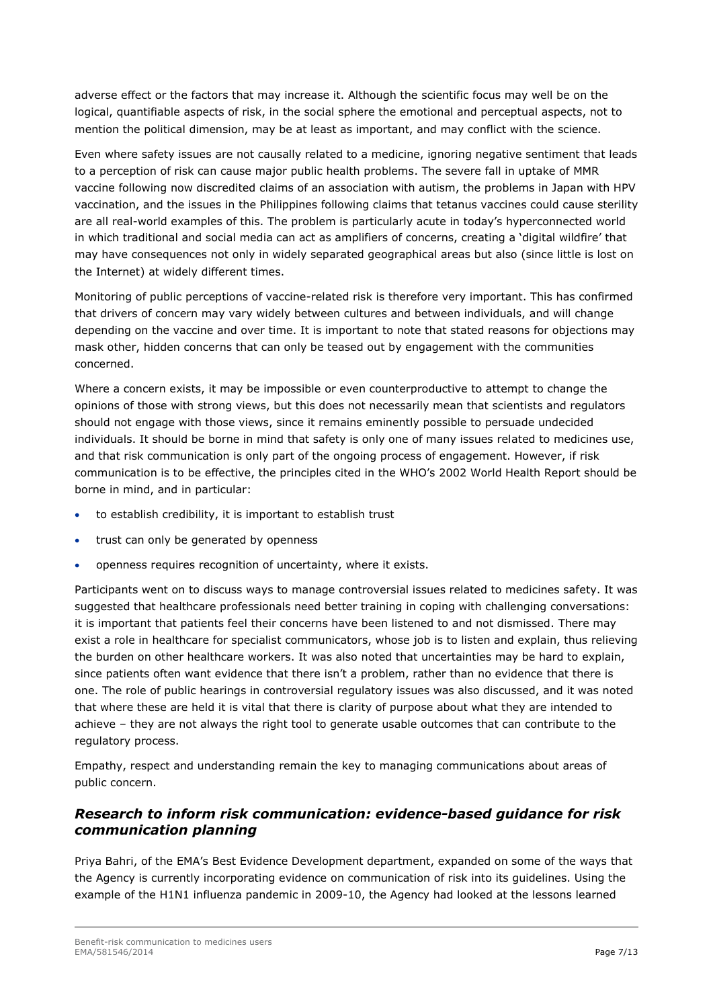adverse effect or the factors that may increase it. Although the scientific focus may well be on the logical, quantifiable aspects of risk, in the social sphere the emotional and perceptual aspects, not to mention the political dimension, may be at least as important, and may conflict with the science.

Even where safety issues are not causally related to a medicine, ignoring negative sentiment that leads to a perception of risk can cause major public health problems. The severe fall in uptake of MMR vaccine following now discredited claims of an association with autism, the problems in Japan with HPV vaccination, and the issues in the Philippines following claims that tetanus vaccines could cause sterility are all real-world examples of this. The problem is particularly acute in today's hyperconnected world in which traditional and social media can act as amplifiers of concerns, creating a 'digital wildfire' that may have consequences not only in widely separated geographical areas but also (since little is lost on the Internet) at widely different times.

Monitoring of public perceptions of vaccine-related risk is therefore very important. This has confirmed that drivers of concern may vary widely between cultures and between individuals, and will change depending on the vaccine and over time. It is important to note that stated reasons for objections may mask other, hidden concerns that can only be teased out by engagement with the communities concerned.

Where a concern exists, it may be impossible or even counterproductive to attempt to change the opinions of those with strong views, but this does not necessarily mean that scientists and regulators should not engage with those views, since it remains eminently possible to persuade undecided individuals. It should be borne in mind that safety is only one of many issues related to medicines use, and that risk communication is only part of the ongoing process of engagement. However, if risk communication is to be effective, the principles cited in the WHO's 2002 World Health Report should be borne in mind, and in particular:

- to establish credibility, it is important to establish trust
- trust can only be generated by openness
- openness requires recognition of uncertainty, where it exists.

Participants went on to discuss ways to manage controversial issues related to medicines safety. It was suggested that healthcare professionals need better training in coping with challenging conversations: it is important that patients feel their concerns have been listened to and not dismissed. There may exist a role in healthcare for specialist communicators, whose job is to listen and explain, thus relieving the burden on other healthcare workers. It was also noted that uncertainties may be hard to explain, since patients often want evidence that there isn't a problem, rather than no evidence that there is one. The role of public hearings in controversial regulatory issues was also discussed, and it was noted that where these are held it is vital that there is clarity of purpose about what they are intended to achieve – they are not always the right tool to generate usable outcomes that can contribute to the regulatory process.

Empathy, respect and understanding remain the key to managing communications about areas of public concern.

#### *Research to inform risk communication: evidence-based guidance for risk communication planning*

Priya Bahri, of the EMA's Best Evidence Development department, expanded on some of the ways that the Agency is currently incorporating evidence on communication of risk into its guidelines. Using the example of the H1N1 influenza pandemic in 2009-10, the Agency had looked at the lessons learned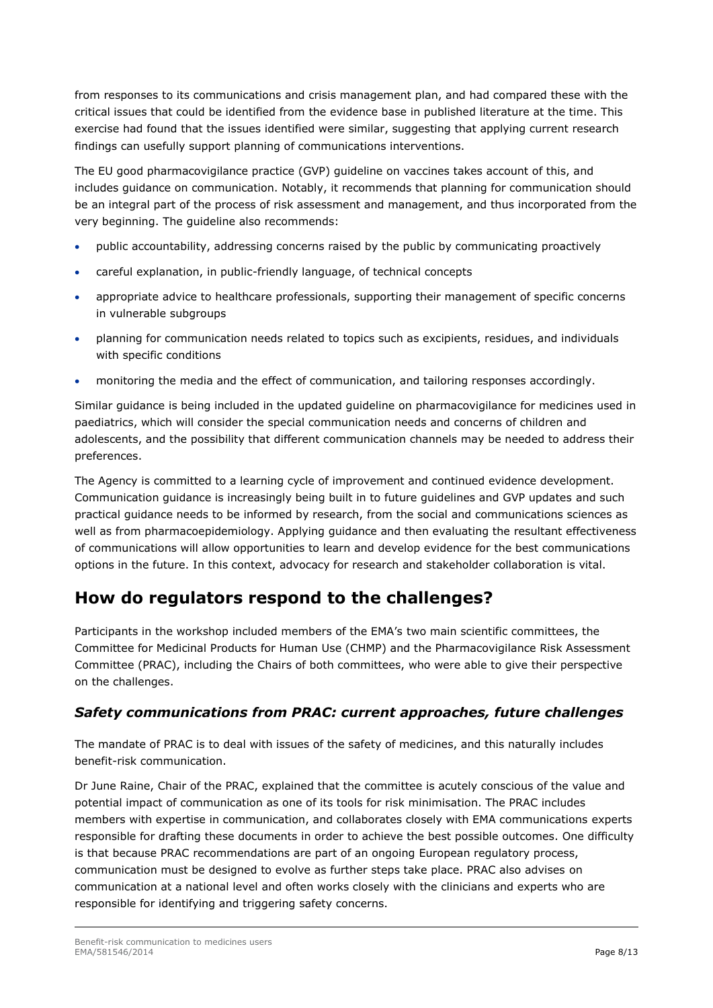from responses to its communications and crisis management plan, and had compared these with the critical issues that could be identified from the evidence base in published literature at the time. This exercise had found that the issues identified were similar, suggesting that applying current research findings can usefully support planning of communications interventions.

The EU good pharmacovigilance practice (GVP) guideline on vaccines takes account of this, and includes guidance on communication. Notably, it recommends that planning for communication should be an integral part of the process of risk assessment and management, and thus incorporated from the very beginning. The guideline also recommends:

- public accountability, addressing concerns raised by the public by communicating proactively
- careful explanation, in public-friendly language, of technical concepts
- appropriate advice to healthcare professionals, supporting their management of specific concerns in vulnerable subgroups
- planning for communication needs related to topics such as excipients, residues, and individuals with specific conditions
- monitoring the media and the effect of communication, and tailoring responses accordingly.

Similar guidance is being included in the updated guideline on pharmacovigilance for medicines used in paediatrics, which will consider the special communication needs and concerns of children and adolescents, and the possibility that different communication channels may be needed to address their preferences.

The Agency is committed to a learning cycle of improvement and continued evidence development. Communication guidance is increasingly being built in to future guidelines and GVP updates and such practical guidance needs to be informed by research, from the social and communications sciences as well as from pharmacoepidemiology. Applying guidance and then evaluating the resultant effectiveness of communications will allow opportunities to learn and develop evidence for the best communications options in the future. In this context, advocacy for research and stakeholder collaboration is vital.

## **How do regulators respond to the challenges?**

Participants in the workshop included members of the EMA's two main scientific committees, the Committee for Medicinal Products for Human Use (CHMP) and the Pharmacovigilance Risk Assessment Committee (PRAC), including the Chairs of both committees, who were able to give their perspective on the challenges.

#### *Safety communications from PRAC: current approaches, future challenges*

The mandate of PRAC is to deal with issues of the safety of medicines, and this naturally includes benefit-risk communication.

Dr June Raine, Chair of the PRAC, explained that the committee is acutely conscious of the value and potential impact of communication as one of its tools for risk minimisation. The PRAC includes members with expertise in communication, and collaborates closely with EMA communications experts responsible for drafting these documents in order to achieve the best possible outcomes. One difficulty is that because PRAC recommendations are part of an ongoing European regulatory process, communication must be designed to evolve as further steps take place. PRAC also advises on communication at a national level and often works closely with the clinicians and experts who are responsible for identifying and triggering safety concerns.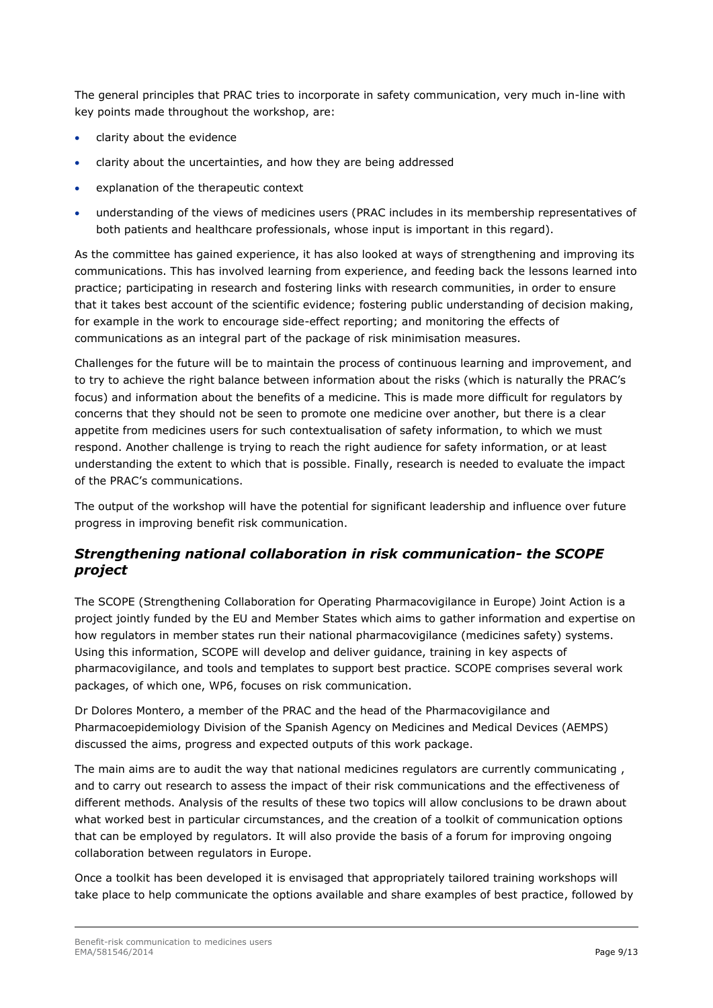The general principles that PRAC tries to incorporate in safety communication, very much in-line with key points made throughout the workshop, are:

- clarity about the evidence
- clarity about the uncertainties, and how they are being addressed
- explanation of the therapeutic context
- understanding of the views of medicines users (PRAC includes in its membership representatives of both patients and healthcare professionals, whose input is important in this regard).

As the committee has gained experience, it has also looked at ways of strengthening and improving its communications. This has involved learning from experience, and feeding back the lessons learned into practice; participating in research and fostering links with research communities, in order to ensure that it takes best account of the scientific evidence; fostering public understanding of decision making, for example in the work to encourage side-effect reporting; and monitoring the effects of communications as an integral part of the package of risk minimisation measures.

Challenges for the future will be to maintain the process of continuous learning and improvement, and to try to achieve the right balance between information about the risks (which is naturally the PRAC's focus) and information about the benefits of a medicine. This is made more difficult for regulators by concerns that they should not be seen to promote one medicine over another, but there is a clear appetite from medicines users for such contextualisation of safety information, to which we must respond. Another challenge is trying to reach the right audience for safety information, or at least understanding the extent to which that is possible. Finally, research is needed to evaluate the impact of the PRAC's communications.

The output of the workshop will have the potential for significant leadership and influence over future progress in improving benefit risk communication.

#### *Strengthening national collaboration in risk communication- the SCOPE project*

The SCOPE (Strengthening Collaboration for Operating Pharmacovigilance in Europe) Joint Action is a project jointly funded by the EU and Member States which aims to gather information and expertise on how regulators in member states run their national pharmacovigilance (medicines safety) systems. Using this information, SCOPE will develop and deliver guidance, training in key aspects of pharmacovigilance, and tools and templates to support best practice. SCOPE comprises several work packages, of which one, WP6, focuses on risk communication.

Dr Dolores Montero, a member of the PRAC and the head of the Pharmacovigilance and Pharmacoepidemiology Division of the Spanish Agency on Medicines and Medical Devices (AEMPS) discussed the aims, progress and expected outputs of this work package.

The main aims are to audit the way that national medicines regulators are currently communicating , and to carry out research to assess the impact of their risk communications and the effectiveness of different methods. Analysis of the results of these two topics will allow conclusions to be drawn about what worked best in particular circumstances, and the creation of a toolkit of communication options that can be employed by regulators. It will also provide the basis of a forum for improving ongoing collaboration between regulators in Europe.

Once a toolkit has been developed it is envisaged that appropriately tailored training workshops will take place to help communicate the options available and share examples of best practice, followed by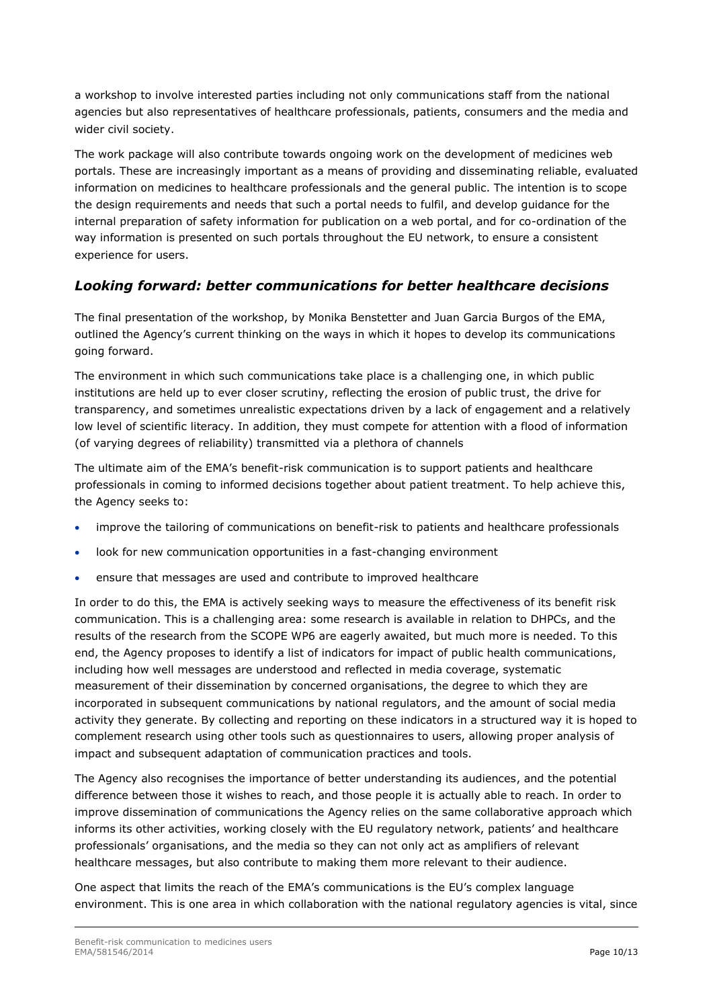a workshop to involve interested parties including not only communications staff from the national agencies but also representatives of healthcare professionals, patients, consumers and the media and wider civil society.

The work package will also contribute towards ongoing work on the development of medicines web portals. These are increasingly important as a means of providing and disseminating reliable, evaluated information on medicines to healthcare professionals and the general public. The intention is to scope the design requirements and needs that such a portal needs to fulfil, and develop guidance for the internal preparation of safety information for publication on a web portal, and for co-ordination of the way information is presented on such portals throughout the EU network, to ensure a consistent experience for users.

#### *Looking forward: better communications for better healthcare decisions*

The final presentation of the workshop, by Monika Benstetter and Juan Garcia Burgos of the EMA, outlined the Agency's current thinking on the ways in which it hopes to develop its communications going forward.

The environment in which such communications take place is a challenging one, in which public institutions are held up to ever closer scrutiny, reflecting the erosion of public trust, the drive for transparency, and sometimes unrealistic expectations driven by a lack of engagement and a relatively low level of scientific literacy. In addition, they must compete for attention with a flood of information (of varying degrees of reliability) transmitted via a plethora of channels

The ultimate aim of the EMA's benefit-risk communication is to support patients and healthcare professionals in coming to informed decisions together about patient treatment. To help achieve this, the Agency seeks to:

- improve the tailoring of communications on benefit-risk to patients and healthcare professionals
- look for new communication opportunities in a fast-changing environment
- ensure that messages are used and contribute to improved healthcare

In order to do this, the EMA is actively seeking ways to measure the effectiveness of its benefit risk communication. This is a challenging area: some research is available in relation to DHPCs, and the results of the research from the SCOPE WP6 are eagerly awaited, but much more is needed. To this end, the Agency proposes to identify a list of indicators for impact of public health communications, including how well messages are understood and reflected in media coverage, systematic measurement of their dissemination by concerned organisations, the degree to which they are incorporated in subsequent communications by national regulators, and the amount of social media activity they generate. By collecting and reporting on these indicators in a structured way it is hoped to complement research using other tools such as questionnaires to users, allowing proper analysis of impact and subsequent adaptation of communication practices and tools.

The Agency also recognises the importance of better understanding its audiences, and the potential difference between those it wishes to reach, and those people it is actually able to reach. In order to improve dissemination of communications the Agency relies on the same collaborative approach which informs its other activities, working closely with the EU regulatory network, patients' and healthcare professionals' organisations, and the media so they can not only act as amplifiers of relevant healthcare messages, but also contribute to making them more relevant to their audience.

One aspect that limits the reach of the EMA's communications is the EU's complex language environment. This is one area in which collaboration with the national regulatory agencies is vital, since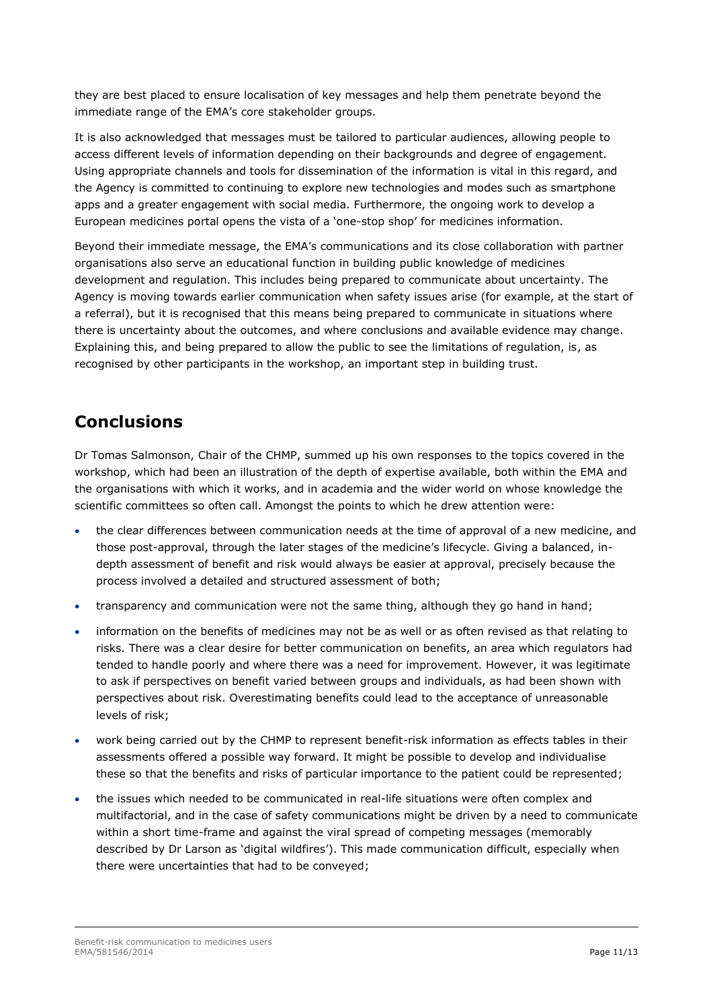they are best placed to ensure localisation of key messages and help them penetrate beyond the immediate range of the EMA's core stakeholder groups.

It is also acknowledged that messages must be tailored to particular audiences, allowing people to access different levels of information depending on their backgrounds and degree of engagement. Using appropriate channels and tools for dissemination of the information is vital in this regard, and the Agency is committed to continuing to explore new technologies and modes such as smartphone apps and a greater engagement with social media. Furthermore, the ongoing work to develop a European medicines portal opens the vista of a 'one-stop shop' for medicines information.

Beyond their immediate message, the EMA's communications and its close collaboration with partner organisations also serve an educational function in building public knowledge of medicines development and regulation. This includes being prepared to communicate about uncertainty. The Agency is moving towards earlier communication when safety issues arise (for example, at the start of a referral), but it is recognised that this means being prepared to communicate in situations where there is uncertainty about the outcomes, and where conclusions and available evidence may change. Explaining this, and being prepared to allow the public to see the limitations of regulation, is, as recognised by other participants in the workshop, an important step in building trust.

### **Conclusions**

Dr Tomas Salmonson, Chair of the CHMP, summed up his own responses to the topics covered in the workshop, which had been an illustration of the depth of expertise available, both within the EMA and the organisations with which it works, and in academia and the wider world on whose knowledge the scientific committees so often call. Amongst the points to which he drew attention were:

- the clear differences between communication needs at the time of approval of a new medicine, and those post-approval, through the later stages of the medicine's lifecycle. Giving a balanced, indepth assessment of benefit and risk would always be easier at approval, precisely because the process involved a detailed and structured assessment of both;
- transparency and communication were not the same thing, although they go hand in hand;
- information on the benefits of medicines may not be as well or as often revised as that relating to risks. There was a clear desire for better communication on benefits, an area which regulators had tended to handle poorly and where there was a need for improvement. However, it was legitimate to ask if perspectives on benefit varied between groups and individuals, as had been shown with perspectives about risk. Overestimating benefits could lead to the acceptance of unreasonable levels of risk;
- work being carried out by the CHMP to represent benefit-risk information as effects tables in their assessments offered a possible way forward. It might be possible to develop and individualise these so that the benefits and risks of particular importance to the patient could be represented;
- the issues which needed to be communicated in real-life situations were often complex and multifactorial, and in the case of safety communications might be driven by a need to communicate within a short time-frame and against the viral spread of competing messages (memorably described by Dr Larson as 'digital wildfires'). This made communication difficult, especially when there were uncertainties that had to be conveyed;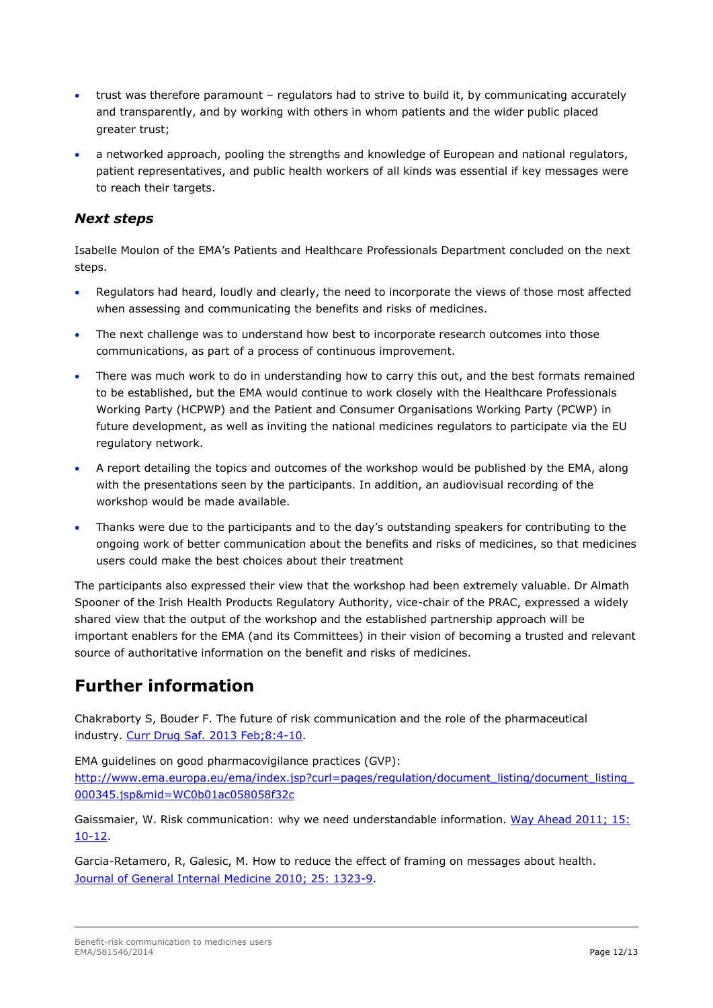- trust was therefore paramount regulators had to strive to build it, by communicating accurately and transparently, and by working with others in whom patients and the wider public placed greater trust;
- a networked approach, pooling the strengths and knowledge of European and national regulators, patient representatives, and public health workers of all kinds was essential if key messages were to reach their targets.

#### *Next steps*

Isabelle Moulon of the EMA's Patients and Healthcare Professionals Department concluded on the next steps.

- Regulators had heard, loudly and clearly, the need to incorporate the views of those most affected when assessing and communicating the benefits and risks of medicines.
- The next challenge was to understand how best to incorporate research outcomes into those communications, as part of a process of continuous improvement.
- There was much work to do in understanding how to carry this out, and the best formats remained to be established, but the EMA would continue to work closely with the Healthcare Professionals Working Party (HCPWP) and the Patient and Consumer Organisations Working Party (PCWP) in future development, as well as inviting the national medicines regulators to participate via the EU regulatory network.
- A report detailing the topics and outcomes of the workshop would be published by the EMA, along with the presentations seen by the participants. In addition, an audiovisual recording of the workshop would be made available.
- Thanks were due to the participants and to the day's outstanding speakers for contributing to the ongoing work of better communication about the benefits and risks of medicines, so that medicines users could make the best choices about their treatment

The participants also expressed their view that the workshop had been extremely valuable. Dr Almath Spooner of the Irish Health Products Regulatory Authority, vice-chair of the PRAC, expressed a widely shared view that the output of the workshop and the established partnership approach will be important enablers for the EMA (and its Committees) in their vision of becoming a trusted and relevant source of authoritative information on the benefit and risks of medicines.

## **Further information**

Chakraborty S, Bouder F. The future of risk communication and the role of the pharmaceutical industry. [Curr Drug Saf. 2013 Feb;8:4-10.](http://www.ncbi.nlm.nih.gov/pubmed/23656442)

EMA guidelines on good pharmacovigilance practices (GVP):

http://www.ema.europa.eu/ema/index.jsp?curl=pages/regulation/document\_listing/document\_listing [000345.jsp&mid=WC0b01ac058058f32c](http://www.ema.europa.eu/ema/index.jsp?curl=pages/regulation/document_listing/document_listing_000345.jsp&mid=WC0b01ac058058f32c)

Gaissmaier, W. Risk communication: why we need understandable information. [Way Ahead 2011; 15:](http://www.mstrust.org.uk/professionals/information/wayahead/articles/15032011_05.jsp) [10-12.](http://www.mstrust.org.uk/professionals/information/wayahead/articles/15032011_05.jsp)

Garcia-Retamero, R, Galesic, M. How to reduce the effect of framing on messages about health. [Journal of General Internal Medicine 2010; 25: 1323-9.](http://www.ncbi.nlm.nih.gov/pmc/articles/PMC2988162/)